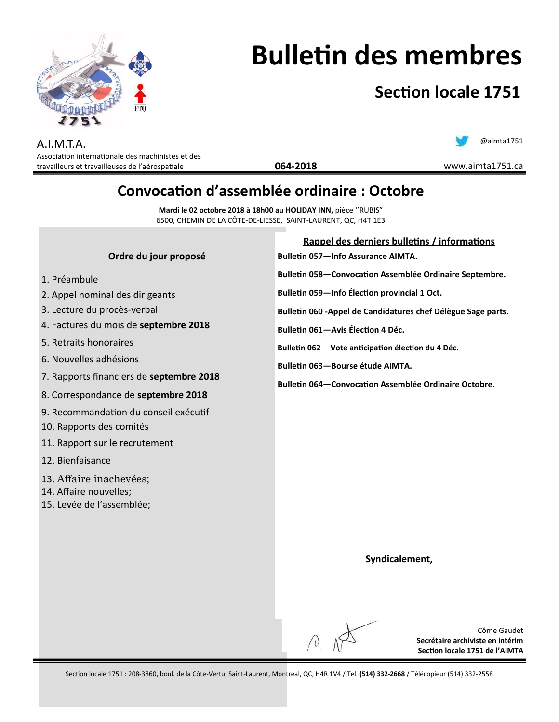

# **Bulletin des membres**

## **Section locale 1751**

A.I.M.T.A. Association internationale des machinistes et des travailleurs et travailleuses de l'aérospatiale

### @aimta1751

www.aimta1751.ca

**Secrétaire archiviste en intérim Section locale 1751 de l'AIMTA**

### **Convocation d'assemblée ordinaire : Octobre**

**064-2018**

**Mardi le 02 octobre 2018 à 18h00 au HOLIDAY INN,** pièce ''RUBIS" 6500, CHEMIN DE LA CÔTE-DE-LIESSE, SAINT-LAURENT, QC, H4T 1E3

| <b>Bulletin 057-Info Assurance AIMTA.</b><br>Bulletin 058-Convocation Assemblée Ordinaire Septembre.<br>Bulletin 059-Info Élection provincial 1 Oct.<br>Bulletin 060 - Appel de Candidatures chef Délègue Sage parts.<br>Bulletin 061-Avis Élection 4 Déc. |
|------------------------------------------------------------------------------------------------------------------------------------------------------------------------------------------------------------------------------------------------------------|
|                                                                                                                                                                                                                                                            |
|                                                                                                                                                                                                                                                            |
|                                                                                                                                                                                                                                                            |
|                                                                                                                                                                                                                                                            |
|                                                                                                                                                                                                                                                            |
| Bulletin 062- Vote anticipation élection du 4 Déc.                                                                                                                                                                                                         |
| Bulletin 063-Bourse étude AIMTA.                                                                                                                                                                                                                           |
| <b>Bulletin 064–Convocation Assemblée Ordinaire Octobre.</b>                                                                                                                                                                                               |
|                                                                                                                                                                                                                                                            |
|                                                                                                                                                                                                                                                            |
|                                                                                                                                                                                                                                                            |
|                                                                                                                                                                                                                                                            |
|                                                                                                                                                                                                                                                            |
|                                                                                                                                                                                                                                                            |
|                                                                                                                                                                                                                                                            |
|                                                                                                                                                                                                                                                            |
|                                                                                                                                                                                                                                                            |
|                                                                                                                                                                                                                                                            |
| Syndicalement,                                                                                                                                                                                                                                             |
|                                                                                                                                                                                                                                                            |
|                                                                                                                                                                                                                                                            |
|                                                                                                                                                                                                                                                            |
|                                                                                                                                                                                                                                                            |
| Côme Gaudet                                                                                                                                                                                                                                                |
|                                                                                                                                                                                                                                                            |

Section locale 1751 : 208-3860, boul. de la Côte-Vertu, Saint-Laurent, Montréal, QC, H4R 1V4 / Tel. **(514) 332-2668** / Télécopieur (514) 332-2558